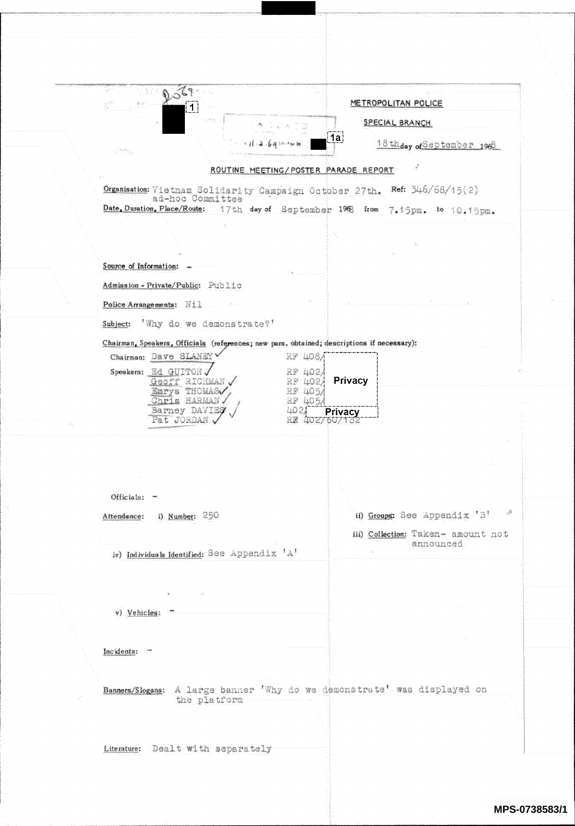|    | $\mathcal{C}_{\mathcal{T}}$<br>$\frac{\partial}{\partial x^2}$                                                                                                                                                              |                                      |                | METROPOLITAN POLICE                              |  |
|----|-----------------------------------------------------------------------------------------------------------------------------------------------------------------------------------------------------------------------------|--------------------------------------|----------------|--------------------------------------------------|--|
|    | $\overline{1}$<br>s en l                                                                                                                                                                                                    |                                      |                |                                                  |  |
|    |                                                                                                                                                                                                                             |                                      | 1aļ            | SPECIAL BRANCH                                   |  |
|    | $\label{eq:3.1} \begin{array}{l} \gamma_{\alpha\beta}^{\alpha} \otimes_{\alpha\beta} \delta \alpha_{\alpha\beta} \\ \vdots \\ \gamma_{\alpha\beta}^{\alpha} \otimes_{\beta\gamma} \gamma_{\beta\beta}^{\alpha} \end{array}$ |                                      |                | 18thday of September 1968                        |  |
|    |                                                                                                                                                                                                                             | ROUTINE MEETING/POSTER PARADE REPORT |                |                                                  |  |
|    | Organisation: Vietnam Solidarity Campaign October 27th. Ref: 346/68/15(2).                                                                                                                                                  |                                      |                |                                                  |  |
|    | ad-hoc Committee<br>Date, Duration, Place/Route: 17th day of September 198 from                                                                                                                                             |                                      |                | 7.15pm. to 10.15pm.                              |  |
|    | te.                                                                                                                                                                                                                         |                                      |                |                                                  |  |
|    |                                                                                                                                                                                                                             |                                      |                | Ъf.                                              |  |
|    | Source of Information:                                                                                                                                                                                                      |                                      |                |                                                  |  |
|    | Admission - Private/Public: Public                                                                                                                                                                                          |                                      |                |                                                  |  |
|    | Police Arrangements: Nil                                                                                                                                                                                                    |                                      |                |                                                  |  |
|    | Subject: Why do we demonstrate?'                                                                                                                                                                                            |                                      |                |                                                  |  |
|    | Chairman, Speakers, Officials (references; new pars, obtained; descriptions if necessary):                                                                                                                                  |                                      |                |                                                  |  |
|    | Chairman: Dave SLANEY                                                                                                                                                                                                       | RF 408/                              |                |                                                  |  |
|    | Speakers: Ed GUITON<br>Geoff RICHMAN                                                                                                                                                                                        | RF 4021<br>RF 402/                   | <b>Privacy</b> |                                                  |  |
|    | Emrys THOMAS<br>Chris HARMAN.                                                                                                                                                                                               | RF 405/<br>RF 405/                   |                |                                                  |  |
|    | Barney DAVIEŞ                                                                                                                                                                                                               | 402,                                 | <b>Privacy</b> |                                                  |  |
|    | Pat JORDAN                                                                                                                                                                                                                  | RR                                   | 507102         |                                                  |  |
|    |                                                                                                                                                                                                                             |                                      |                |                                                  |  |
|    |                                                                                                                                                                                                                             |                                      |                |                                                  |  |
|    |                                                                                                                                                                                                                             |                                      |                |                                                  |  |
|    | Officials: -                                                                                                                                                                                                                |                                      |                |                                                  |  |
|    | Attendance: i) Number: 250                                                                                                                                                                                                  |                                      |                | $\mathcal{A}$<br>ii) Groups: See Appendix 'B'    |  |
|    | Euritis                                                                                                                                                                                                                     |                                      |                | iii) Collection: Taken- amount not<br>announced. |  |
|    | iv) Individuals Identified: See Appendix 'A'                                                                                                                                                                                |                                      |                |                                                  |  |
|    |                                                                                                                                                                                                                             |                                      |                |                                                  |  |
|    | - 4.                                                                                                                                                                                                                        |                                      |                |                                                  |  |
|    | v) Vehicles:                                                                                                                                                                                                                |                                      |                | ÷.                                               |  |
|    |                                                                                                                                                                                                                             |                                      |                |                                                  |  |
|    | Incidents:                                                                                                                                                                                                                  |                                      |                |                                                  |  |
|    |                                                                                                                                                                                                                             |                                      |                |                                                  |  |
|    | Banners/Slogans: A large banner 'Why do we demonstrate' was displayed on                                                                                                                                                    |                                      |                |                                                  |  |
| ă. | the platform                                                                                                                                                                                                                |                                      |                |                                                  |  |
|    |                                                                                                                                                                                                                             |                                      |                |                                                  |  |
|    |                                                                                                                                                                                                                             |                                      |                |                                                  |  |
|    | Literature: Dealt with separately                                                                                                                                                                                           |                                      |                |                                                  |  |